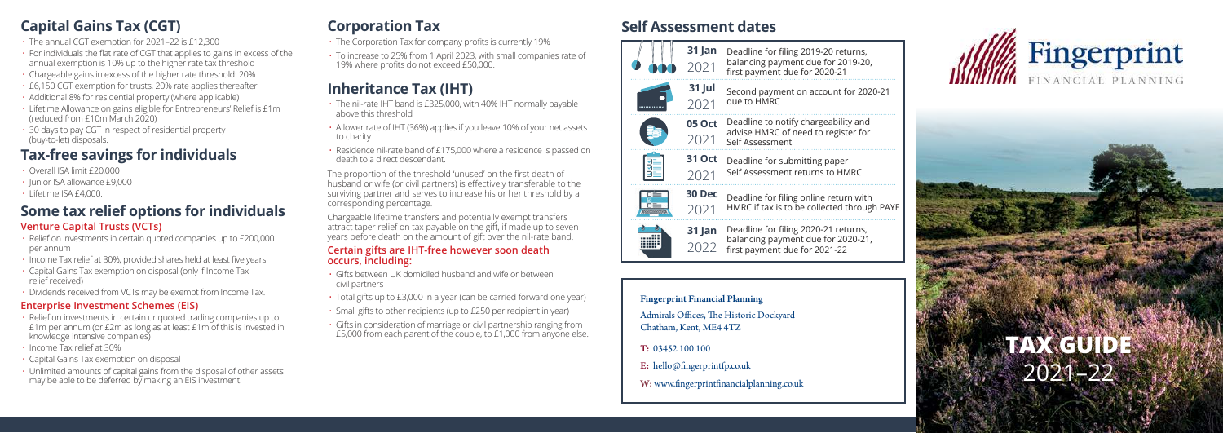- The annual CGT exemption for 2021–22 is £12,300
- For individuals the flat rate of CGT that applies to gains in excess of the annual exemption is 10% up to the higher rate tax threshold
- Chargeable gains in excess of the higher rate threshold: 20%
- £6,150 CGT exemption for trusts, 20% rate applies thereafter
- Additional 8% for residential property (where applicable)
- Lifetime Allowance on gains eligible for Entrepreneurs' Relief is £1m (reduced from £10m March 2020)
- 30 days to pay CGT in respect of residential property (buy-to-let) disposals.

# **Tax-free savings for individuals**

- Overall ISA limit £20,000
- Junior ISA allowance £9,000
- Lifetime ISA £4,000.

## **Some tax relief options for individuals Venture Capital Trusts (VCTs)**

- Relief on investments in certain quoted companies up to £200,000 per annum
- Income Tax relief at 30%, provided shares held at least five years
- Capital Gains Tax exemption on disposal (only if Income Tax relief received)
- Dividends received from VCTs may be exempt from Income Tax.

### **Enterprise Investment Schemes (EIS)**

- Relief on investments in certain unquoted trading companies up to £1m per annum (or £2m as long as at least £1m of this is invested in knowledge intensive companies)
- Income Tax relief at 30%
- Capital Gains Tax exemption on disposal
- Unlimited amounts of capital gains from the disposal of other assets may be able to be deferred by making an EIS investment.

# **Corporation Tax**

- The Corporation Tax for company profits is currently 19%
- To increase to 25% from 1 April 2023, with small companies rate of 19% where profits do not exceed £50,000.

# **Inheritance Tax (IHT)**

- The nil-rate IHT band is £325,000, with 40% IHT normally payable above this threshold
- A lower rate of IHT (36%) applies if you leave 10% of your net assets to charity
- Residence nil-rate band of £175,000 where a residence is passed on death to a direct descendant.

The proportion of the threshold 'unused' on the first death of husband or wife (or civil partners) is effectively transferable to the surviving partner and serves to increase his or her threshold by a corresponding percentage.

Chargeable lifetime transfers and potentially exempt transfers attract taper relief on tax payable on the gift, if made up to seven years before death on the amount of gift over the nil-rate band.

#### **Certain gifts are IHT-free however soon death occurs, including:**

- Gifts between UK domiciled husband and wife or between civil partners
- Total gifts up to £3,000 in a year (can be carried forward one year)
- Small gifts to other recipients (up to £250 per recipient in year)
- Gifts in consideration of marriage or civil partnership ranging from £5,000 from each parent of the couple, to £1,000 from anyone else.

# **Capital Gains Tax (CGT) Self Assessment dates**



Fingerprint Financial Planning Admirals Offices, The Historic Dockyard Chatham, Kent, ME4 4TZ T: 03452 100 100 E: hello@fingerprintfp.co.uk

W: www.fingerprintfinancialplanning.co.uk